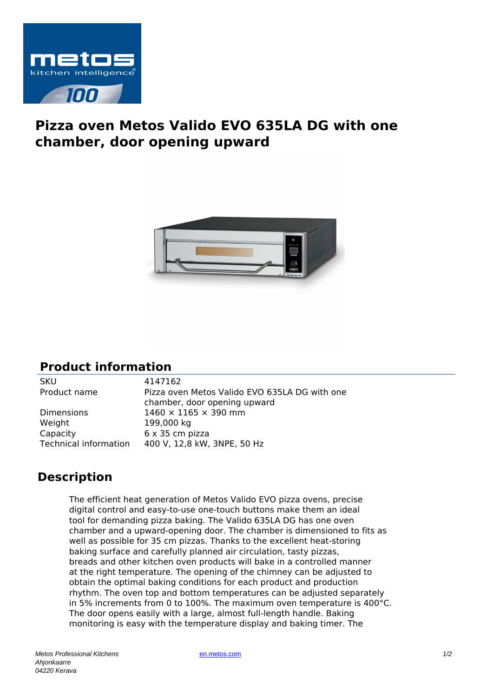

## **Pizza oven Metos Valido EVO 635LA DG with one chamber, door opening upward**



## **Product information**

SKU 4147162 Product name Pizza oven Metos Valido EVO 635LA DG with one chamber, door opening upward Dimensions  $1460 \times 1165 \times 390$  mm Weight 199,000 kg Capacity 6 x 35 cm pizza Technical information 400 V, 12,8 kW, 3NPE, 50 Hz

## **Description**

The efficient heat generation of Metos Valido EVO pizza ovens, precise digital control and easy-to-use one-touch buttons make them an ideal tool for demanding pizza baking. The Valido 635LA DG has one oven chamber and a upward-opening door. The chamber is dimensioned to fits as well as possible for 35 cm pizzas. Thanks to the excellent heat-storing baking surface and carefully planned air circulation, tasty pizzas, breads and other kitchen oven products will bake in a controlled manner at the right temperature. The opening of the chimney can be adjusted to obtain the optimal baking conditions for each product and production rhythm. The oven top and bottom temperatures can be adjusted separately in 5% increments from 0 to 100%. The maximum oven temperature is 400°C. The door opens easily with a large, almost full-length handle. Baking monitoring is easy with the temperature display and baking timer. The